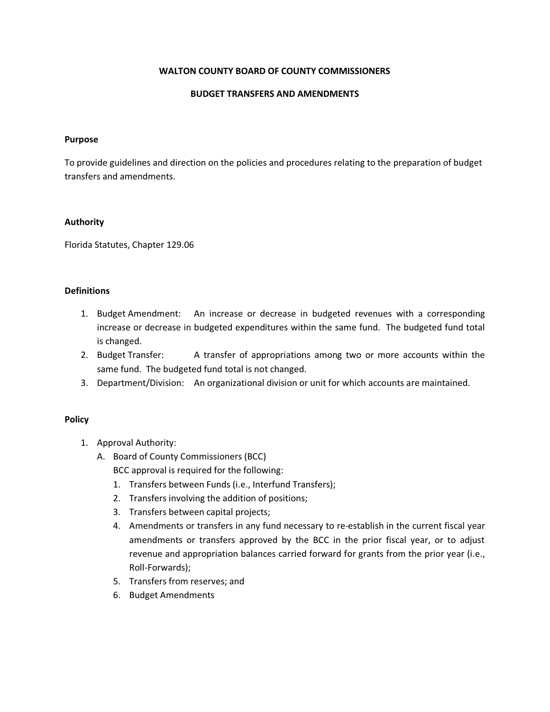## WALTON COUNTY BOARD OF COUNTY COMMISSIONERS

### BUDGET TRANSFERS AND AMENDMENTS

#### Purpose

To provide guidelines and direction on the policies and procedures relating to the preparation of budget transfers and amendments.

#### Authority

Florida Statutes, Chapter 129.06

### **Definitions**

- 1. Budget Amendment: An increase or decrease in budgeted revenues with a corresponding increase or decrease in budgeted expenditures within the same fund. The budgeted fund total is changed.
- 2. Budget Transfer: A transfer of appropriations among two or more accounts within the same fund. The budgeted fund total is not changed.
- 3. Department/Division: An organizational division or unit for which accounts are maintained.

## Policy

- 1. Approval Authority:
	- A. Board of County Commissioners (BCC) BCC approval is required for the following:
		- 1. Transfers between Funds (i.e., Interfund Transfers);
		- 2. Transfers involving the addition of positions;
		- 3. Transfers between capital projects;
		- 4. Amendments or transfers in any fund necessary to re-establish in the current fiscal year amendments or transfers approved by the BCC in the prior fiscal year, or to adjust revenue and appropriation balances carried forward for grants from the prior year (i.e., Roll-Forwards);
		- 5. Transfers from reserves; and
		- 6. Budget Amendments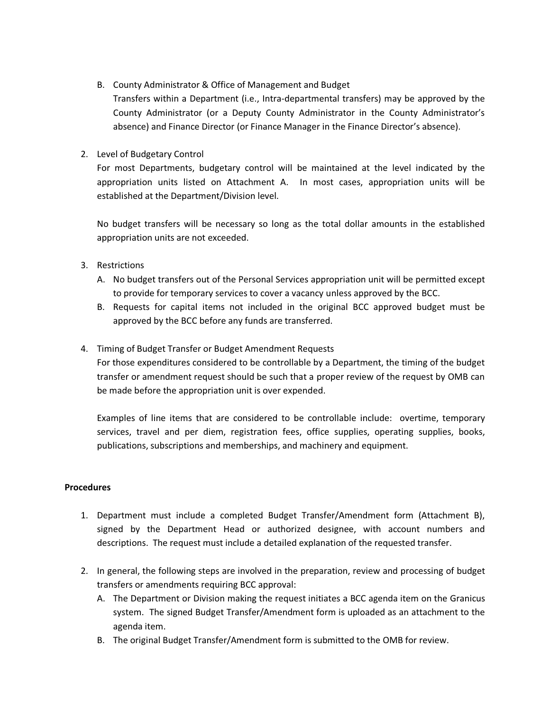B. County Administrator & Office of Management and Budget

Transfers within a Department (i.e., Intra-departmental transfers) may be approved by the County Administrator (or a Deputy County Administrator in the County Administrator's absence) and Finance Director (or Finance Manager in the Finance Director's absence).

## 2. Level of Budgetary Control

For most Departments, budgetary control will be maintained at the level indicated by the appropriation units listed on Attachment A. In most cases, appropriation units will be established at the Department/Division level.

No budget transfers will be necessary so long as the total dollar amounts in the established appropriation units are not exceeded.

- 3. Restrictions
	- A. No budget transfers out of the Personal Services appropriation unit will be permitted except to provide for temporary services to cover a vacancy unless approved by the BCC.
	- B. Requests for capital items not included in the original BCC approved budget must be approved by the BCC before any funds are transferred.

## 4. Timing of Budget Transfer or Budget Amendment Requests

For those expenditures considered to be controllable by a Department, the timing of the budget transfer or amendment request should be such that a proper review of the request by OMB can be made before the appropriation unit is over expended.

Examples of line items that are considered to be controllable include: overtime, temporary services, travel and per diem, registration fees, office supplies, operating supplies, books, publications, subscriptions and memberships, and machinery and equipment.

## **Procedures**

- 1. Department must include a completed Budget Transfer/Amendment form (Attachment B), signed by the Department Head or authorized designee, with account numbers and descriptions. The request must include a detailed explanation of the requested transfer.
- 2. In general, the following steps are involved in the preparation, review and processing of budget transfers or amendments requiring BCC approval:
	- A. The Department or Division making the request initiates a BCC agenda item on the Granicus system. The signed Budget Transfer/Amendment form is uploaded as an attachment to the agenda item.
	- B. The original Budget Transfer/Amendment form is submitted to the OMB for review.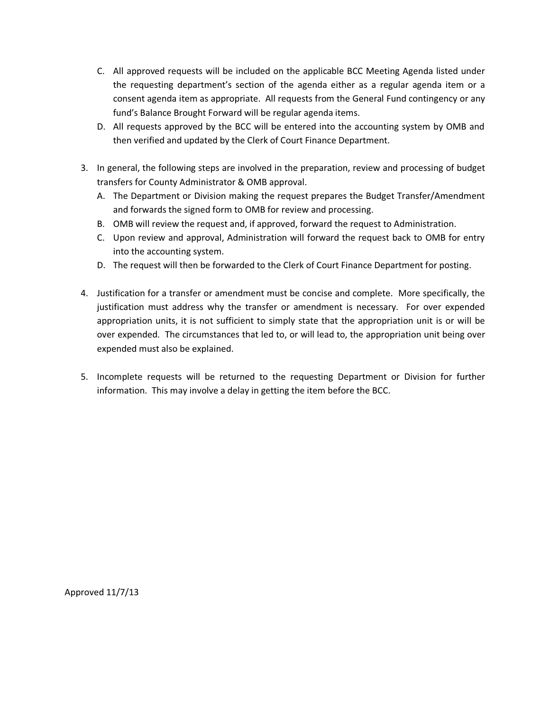- C. All approved requests will be included on the applicable BCC Meeting Agenda listed under the requesting department's section of the agenda either as a regular agenda item or a consent agenda item as appropriate. All requests from the General Fund contingency or any fund's Balance Brought Forward will be regular agenda items.
- D. All requests approved by the BCC will be entered into the accounting system by OMB and then verified and updated by the Clerk of Court Finance Department.
- 3. In general, the following steps are involved in the preparation, review and processing of budget transfers for County Administrator & OMB approval.
	- A. The Department or Division making the request prepares the Budget Transfer/Amendment and forwards the signed form to OMB for review and processing.
	- B. OMB will review the request and, if approved, forward the request to Administration.
	- C. Upon review and approval, Administration will forward the request back to OMB for entry into the accounting system.
	- D. The request will then be forwarded to the Clerk of Court Finance Department for posting.
- 4. Justification for a transfer or amendment must be concise and complete. More specifically, the justification must address why the transfer or amendment is necessary. For over expended appropriation units, it is not sufficient to simply state that the appropriation unit is or will be over expended. The circumstances that led to, or will lead to, the appropriation unit being over expended must also be explained.
- 5. Incomplete requests will be returned to the requesting Department or Division for further information. This may involve a delay in getting the item before the BCC.

Approved 11/7/13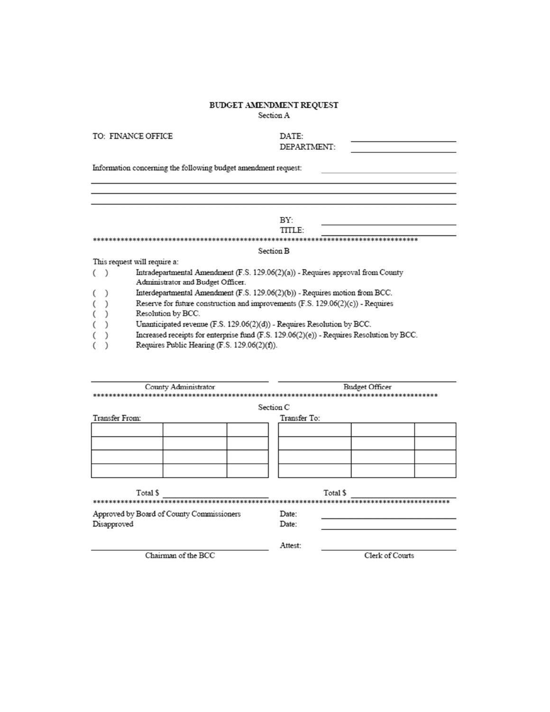## BUDGET AMENDMENT REQUEST

Section A

TO: FINANCE OFFICE

| DATE:       |  |
|-------------|--|
| DEPARTMENT: |  |

 $\overline{\phantom{0}}$ 

Information concerning the following budget amendment request:

|                                                                                   |                                                                                 | BY:<br>TITLE:                                                                            |  |  |  |
|-----------------------------------------------------------------------------------|---------------------------------------------------------------------------------|------------------------------------------------------------------------------------------|--|--|--|
|                                                                                   |                                                                                 |                                                                                          |  |  |  |
|                                                                                   |                                                                                 | Section B                                                                                |  |  |  |
|                                                                                   | This request will require a:                                                    |                                                                                          |  |  |  |
|                                                                                   | Intradepartmental Amendment (F.S. 129.06(2)(a)) - Requires approval from County |                                                                                          |  |  |  |
|                                                                                   |                                                                                 | Administrator and Budget Officer.                                                        |  |  |  |
|                                                                                   |                                                                                 | Interdepartmental Amendment (F.S. 129.06(2)(b)) - Requires motion from BCC.              |  |  |  |
| Reserve for future construction and improvements $(F.S. 129.06(2)(c))$ - Requires |                                                                                 |                                                                                          |  |  |  |
|                                                                                   | Resolution by BCC.                                                              |                                                                                          |  |  |  |
|                                                                                   |                                                                                 | Unanticipated revenue (F.S. 129.06(2)(d)) - Requires Resolution by BCC.                  |  |  |  |
|                                                                                   |                                                                                 | Increased receipts for enterprise fund (F.S. 129.06(2)(e)) - Requires Resolution by BCC. |  |  |  |
|                                                                                   |                                                                                 |                                                                                          |  |  |  |

|  |  | Requires Public Hearing (F.S. 129.06(2)(f)). |
|--|--|----------------------------------------------|
|--|--|----------------------------------------------|

| County Administrator<br>************<br>****************** |              | Budget Officer<br>********************************* |  |  |
|------------------------------------------------------------|--------------|-----------------------------------------------------|--|--|
|                                                            | Section C    |                                                     |  |  |
| Transfer From:                                             | Transfer To: |                                                     |  |  |
|                                                            |              |                                                     |  |  |
|                                                            |              |                                                     |  |  |
|                                                            |              |                                                     |  |  |
|                                                            |              |                                                     |  |  |
|                                                            |              |                                                     |  |  |
| Total \$                                                   |              | Total \$                                            |  |  |
|                                                            |              |                                                     |  |  |
| Approved by Board of County Commissioners                  | Date:        |                                                     |  |  |
| Disapproved                                                | Date:        |                                                     |  |  |
|                                                            | Attest:      |                                                     |  |  |
| Chairman of the BCC                                        |              | Clerk of Courts                                     |  |  |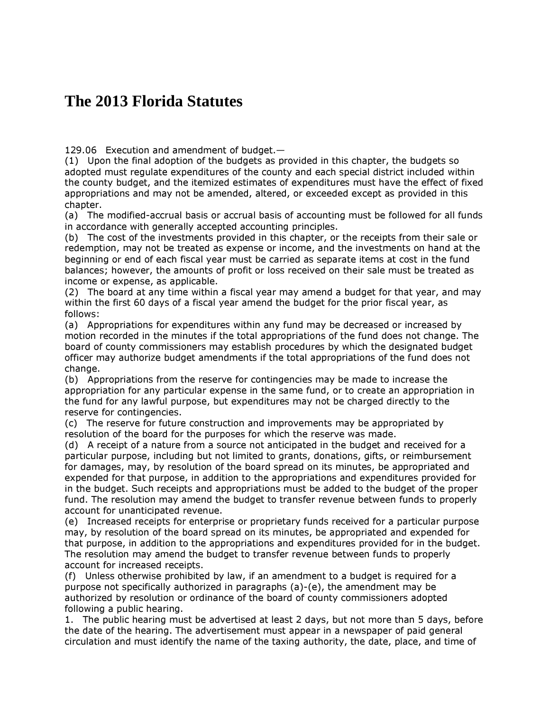# **The 2013 Florida Statutes**

129.06 Execution and amendment of budget.—

(1) Upon the final adoption of the budgets as provided in this chapter, the budgets so adopted must regulate expenditures of the county and each special district included within the county budget, and the itemized estimates of expenditures must have the effect of fixed appropriations and may not be amended, altered, or exceeded except as provided in this chapter.

(a) The modified-accrual basis or accrual basis of accounting must be followed for all funds in accordance with generally accepted accounting principles.

(b) The cost of the investments provided in this chapter, or the receipts from their sale or redemption, may not be treated as expense or income, and the investments on hand at the beginning or end of each fiscal year must be carried as separate items at cost in the fund balances; however, the amounts of profit or loss received on their sale must be treated as income or expense, as applicable.

(2) The board at any time within a fiscal year may amend a budget for that year, and may within the first 60 days of a fiscal year amend the budget for the prior fiscal year, as follows:

(a) Appropriations for expenditures within any fund may be decreased or increased by motion recorded in the minutes if the total appropriations of the fund does not change. The board of county commissioners may establish procedures by which the designated budget officer may authorize budget amendments if the total appropriations of the fund does not change.

(b) Appropriations from the reserve for contingencies may be made to increase the appropriation for any particular expense in the same fund, or to create an appropriation in the fund for any lawful purpose, but expenditures may not be charged directly to the reserve for contingencies.

(c) The reserve for future construction and improvements may be appropriated by resolution of the board for the purposes for which the reserve was made.

(d) A receipt of a nature from a source not anticipated in the budget and received for a particular purpose, including but not limited to grants, donations, gifts, or reimbursement for damages, may, by resolution of the board spread on its minutes, be appropriated and expended for that purpose, in addition to the appropriations and expenditures provided for in the budget. Such receipts and appropriations must be added to the budget of the proper fund. The resolution may amend the budget to transfer revenue between funds to properly account for unanticipated revenue.

(e) Increased receipts for enterprise or proprietary funds received for a particular purpose may, by resolution of the board spread on its minutes, be appropriated and expended for that purpose, in addition to the appropriations and expenditures provided for in the budget. The resolution may amend the budget to transfer revenue between funds to properly account for increased receipts.

(f) Unless otherwise prohibited by law, if an amendment to a budget is required for a purpose not specifically authorized in paragraphs (a)-(e), the amendment may be authorized by resolution or ordinance of the board of county commissioners adopted following a public hearing.

1. The public hearing must be advertised at least 2 days, but not more than 5 days, before the date of the hearing. The advertisement must appear in a newspaper of paid general circulation and must identify the name of the taxing authority, the date, place, and time of